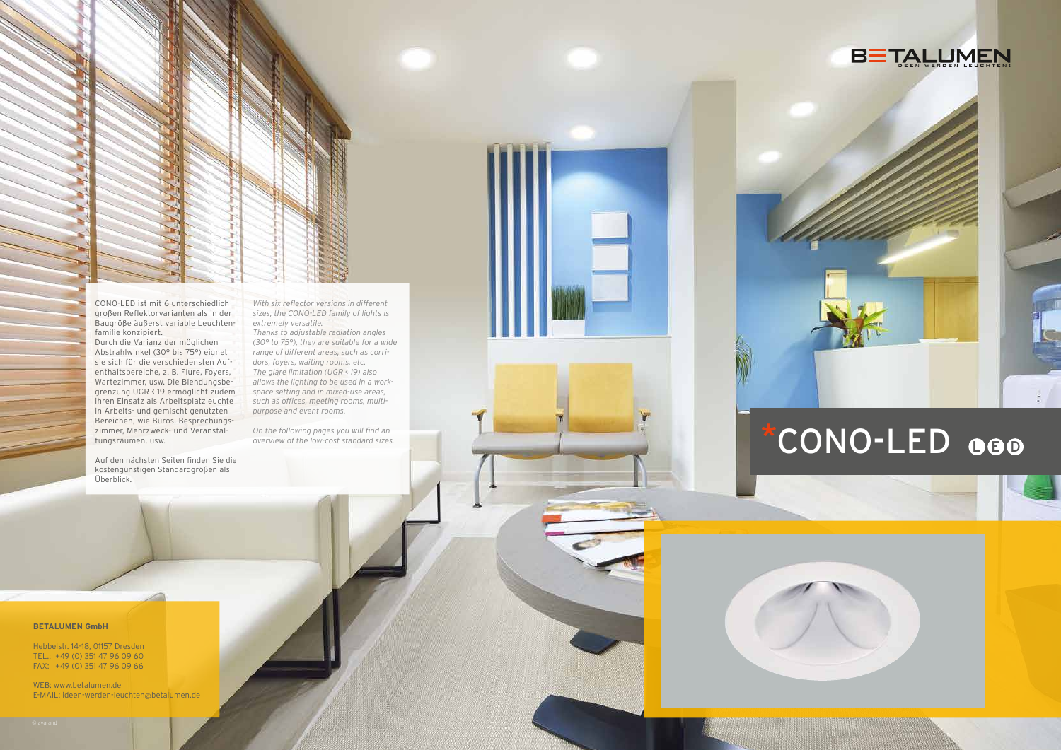#### **BETALUMEN GmbH**

Hebbelstr. 14–18, 01157 Dresden TEL.: +49 (0) 351 47 96 09 60 FAX: +49 (0) 351 47 96 09 66

WEB: www.betalumen.de E-MAIL: ideen-werden-leuchten@betalumen.de



# CONO-LED 000





CONO-LED ist mit 6 unterschiedlich großen Reflektorvarianten als in der Baugröße äußerst variable Leuchtenfamilie konzipiert.

Durch die Varianz der möglichen Abstrahlwinkel (30° bis 75°) eignet sie sich für die verschiedensten Aufenthaltsbereiche, z. B. Flure, Foyers, Wartezimmer, usw. Die Blendungsbegrenzung UGR < 19 ermöglicht zudem ihren Einsatz als Arbeitsplatzleuchte in Arbeits- und gemischt genutzten Bereichen, wie Büros, Besprechungszimmer, Mehrzweck- und Veranstaltungsräumen, usw.

Auf den nächsten Seiten finden Sie die kostengünstigen Standardgrößen als Überblick.

*With six reflector versions in different sizes, the CONO-LED family of lights is extremely versatile.*

*Thanks to adjustable radiation angles (30° to 75°), they are suitable for a wide range of different areas, such as corridors, foyers, waiting rooms, etc. The glare limitation (UGR < 19) also allows the lighting to be used in a workspace setting and in mixed-use areas, such as offices, meeting rooms, multipurpose and event rooms.*

*On the following pages you will find an overview of the low-cost standard sizes.*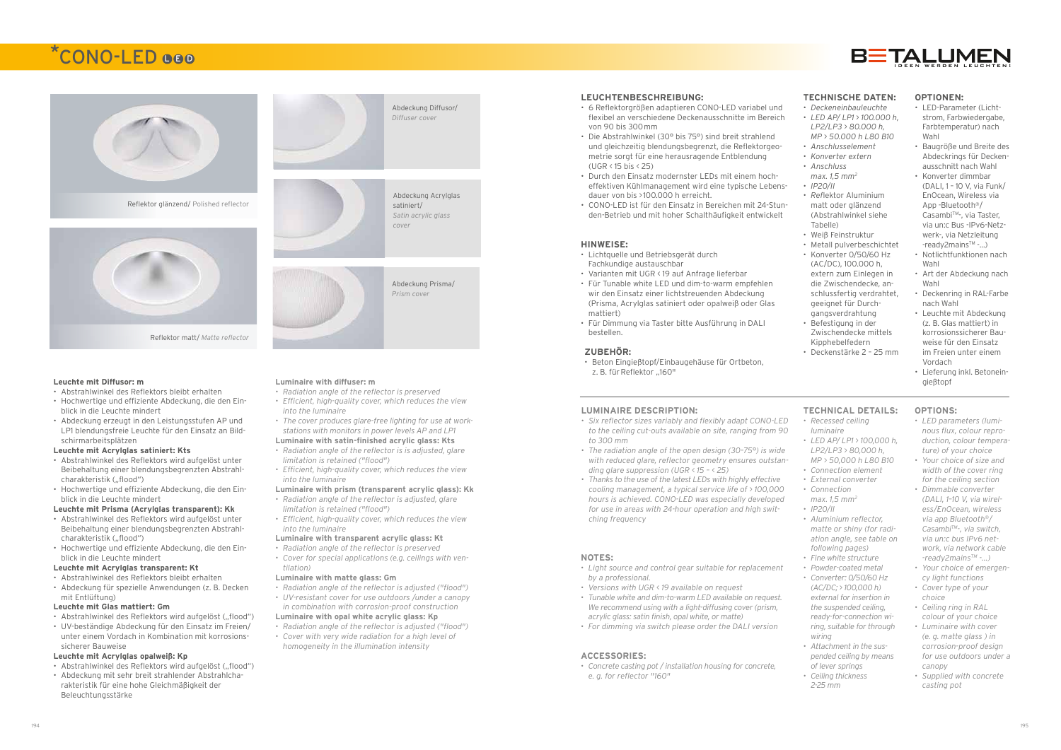Abdeckung Diffusor/ *Diffuser cover*





## \*CONO-LED QQD



Reflektor glänzend/ Polished reflector



#### **Leuchte mit Diffusor: m**

- Abstrahlwinkel des Reflektors bleibt erhalten
- Hochwertige und effiziente Abdeckung, die den Einblick in die Leuchte mindert
- Abdeckung erzeugt in den Leistungsstufen AP und LP1 blendungsfreie Leuchte für den Einsatz an Bildschirmarbeitsplätzen

#### **Leuchte mit Acrylglas satiniert: Kts**

- Abstrahlwinkel des Reflektors wird aufgelöst unter Beibehaltung einer blendungsbegrenzten Abstrahlcharakteristik ("flood")
- Hochwertige und effiziente Abdeckung, die den Einblick in die Leuchte mindert

- Abstrahlwinkel des Reflektors wird aufgelöst ("flood")
- UV-beständige Abdeckung für den Einsatz im Freien/ unter einem Vordach in Kombination mit korrosionssicherer Bauweise

#### **Leuchte mit Prisma (Acrylglas transparent): Kk**

- Abstrahlwinkel des Reflektors wird aufgelöst ("flood")
- Abdeckung mit sehr breit strahlender Abstrahlcharakteristik für eine hohe Gleichmäßigkeit der Beleuchtungsstärke
- Abstrahlwinkel des Reflektors wird aufgelöst unter Beibehaltung einer blendungsbegrenzten Abstrahlcharakteristik ("flood")
- Hochwertige und effiziente Abdeckung, die den Einblick in die Leuchte mindert

#### **Leuchte mit Acrylglas transparent: Kt**

• Abstrahlwinkel des Reflektors bleibt erhalten • Abdeckung für spezielle Anwendungen (z. B. Decken mit Entlüftung)

#### **Leuchte mit Glas mattiert: Gm**

#### **Leuchte mit Acrylglas opalweiß: Kp**



- *• Radiation angle of the reflector is preserved*
- *• Efficient, high-quality cover, which reduces the view into the luminaire*

*• The cover produces glare-free lighting for use at workstations with monitors in power levels AP and LP1*

#### **Luminaire with satin-finished acrylic glass: Kts**

- *• Radiation angle of the reflector is is adjusted, glare limitation is retained ("flood")*
- *• Efficient, high-quality cover, which reduces the view into the luminaire*

#### **Luminaire with prism (transparent acrylic glass): Kk**

- *• Radiation angle of the reflector is adjusted, glare limitation is retained ("flood")*
- *• Efficient, high-quality cover, which reduces the view into the luminaire*

#### **Luminaire with transparent acrylic glass: Kt**

- *• Radiation angle of the reflector is preserved*
- *• Cover for special applications (e.g. ceilings with ventilation)*

#### **Luminaire with matte glass: Gm**

- *• Radiation angle of the reflector is adjusted ("flood")*
- *• UV-resistant cover for use outdoors /under a canopy in combination with corrosion-proof construction*

#### **Luminaire with opal white acrylic glass: Kp**

- *• Radiation angle of the reflector is adjusted ("flood")*
- *• Cover with very wide radiation for a high level of homogeneity in the illumination intensity*

#### **LEUCHTENBESCHREIBUNG:**

- 6 Reflektorgrößen adaptieren CONO-LED variabel und flexibel an verschiedene Deckenausschnitte im Bereich von 90 bis 300mm
- Die Abstrahlwinkel (30° bis 75°) sind breit strahlend und gleichzeitig blendungsbegrenzt, die Reflektorgeometrie sorgt für eine herausragende Entblendung (UGR < 15 bis < 25)
- Durch den Einsatz modernster LEDs mit einem hocheffektiven Kühlmanagement wird eine typische Lebensdauer von bis >100.000 h erreicht.
- CONO-LED ist für den Einsatz in Bereichen mit 24-Stunden-Betrieb und mit hoher Schalthäufigkeit entwickelt

• Beton Eingießtopf/Einbaugehäuse für Ortbeton, z. B. für Reflektor "160"

#### **LUMINAIRE DESCRIPTION:**

- *• Six reflector sizes variably and flexibly adapt CONO-LED to the ceiling cut-outs available on site, ranging from 90 to 300 mm*
- *• The radiation angle of the open design (30–75°) is wide with reduced glare, reflector geometry ensures outstanding glare suppression (UGR < 15 – < 25)*
- *• Thanks to the use of the latest LEDs with highly effective cooling management, a typical service life of > 100,000 hours is achieved. CONO-LED was especially developed for use in areas with 24-hour operation and high switching frequency*

#### **TECHNISCHE DATEN:**

- *• Deckeneinbauleuchte*
- *• LED AP/ LP1 > 100.000 h, LP2/LP3 > 80.000 h, MP > 50.000 h L80 B10*
- *• Anschlusselement*
- *• Konverter extern • Anschluss*
- *max. 1,5 mm2 • IP20/II*
- *• Ref*lektor Aluminium matt oder glänzend (Abstrahlwinkel siehe Tabelle)
- Weiß Feinstruktur
- Metall pulverbeschichtet
- Konverter 0/50/60 Hz (AC/DC), 100.000 h, extern zum Einlegen in die Zwischendecke, anschlussfertig verdrahtet, geeignet für Durchgangsverdrahtung
- Befestigung in der Zwischendecke mittels Kipphebelfedern
- Deckenstärke 2 25 mm

#### **OPTIONEN:**

- LED-Parameter (Lichtstrom, Farbwiedergabe, Farbtemperatur) nach Wahl
- Baugröße und Breite des Abdeckrings für Deckenausschnitt nach Wahl
- Konverter dimmbar (DALI, 1 – 10 V, via Funk/ EnOcean, Wireless via App -Bluetooth®/ Casambi™-, via Taster, via un:c Bus -IPv6-Netzwerk-, via Netzleitung -ready2mainsTM -...)
- Notlichtfunktionen nach Wahl
- Art der Abdeckung nach Wahl
- Deckenring in RAL-Farbe nach Wahl
- Leuchte mit Abdeckung (z. B. Glas mattiert) in korrosionssicherer Bauweise für den Einsatz im Freien unter einem Vordach
- Lieferung inkl. Betoneingießtopf

### **TECHNICAL DETAILS:**

- *• Recessed ceiling luminaire*
- *• LED AP/ LP1 > 100,000 h, LP2/LP3 > 80,000 h, MP > 50,000 h L80 B10*
- *• Connection element*
- *• External converter*
- *• Connection max. 1,5 mm2*
- *• IP20/II*
- *• Aluminium reflector, matte or shiny (for radiation angle, see table on following pages)*
- *• Fine white structure*
- *• Powder-coated metal*
- *• Converter: 0/50/60 Hz (AC/DC; > 100,000 h) external for insertion in the suspended ceiling, ready-for-connection wiring, suitable for through wiring*
- *• Attachment in the suspended ceiling by means of lever springs*
- *• Ceiling thickness 2-25 mm*

#### **OPTIONS:**

- *• LED parameters (luminous flux, colour reproduction, colour temperature) of your choice*
- *• Your choice of size and width of the cover ring for the ceiling section*
- *• Dimmable converter (DALI, 1–10 V, via wireless/EnOcean, wireless via app Bluetooth®/ CasambiTM-, via switch, via un:c bus IPv6 network, via network cable -ready2mainsTM -...)*
- *• Your choice of emergency light functions*
- *• Cover type of your choice*
- *• Ceiling ring in RAL colour of your choice*
- *• Luminaire with cover (e. g. matte glass ) in corrosion-proof design for use outdoors under a canopy*
- *• Supplied with concrete casting pot*

#### **HINWEISE:**

- Lichtquelle und Betriebsgerät durch Fachkundige austauschbar
- Varianten mit UGR < 19 auf Anfrage lieferbar
- Für Tunable white LED und dim-to-warm empfehlen wir den Einsatz einer lichtstreuenden Abdeckung (Prisma, Acrylglas satiniert oder opalweiß oder Glas mattiert)
- Für Dimmung via Taster bitte Ausführung in DALI bestellen.

#### **ZUBEHÖR:**

### **ACCESSORIES:**

*• Concrete casting pot / installation housing for concrete, e. g. for reflector "160"*

#### **NOTES:**

- *• Light source and control gear suitable for replacement by a professional.*
- *• Versions with UGR < 19 available on request*
- *• Tunable white and dim-to-warm LED available on request. We recommend using with a light-diffusing cover (prism, acrylic glass: satin finish, opal white, or matte)*
- *• For dimming via switch please order the DALI version*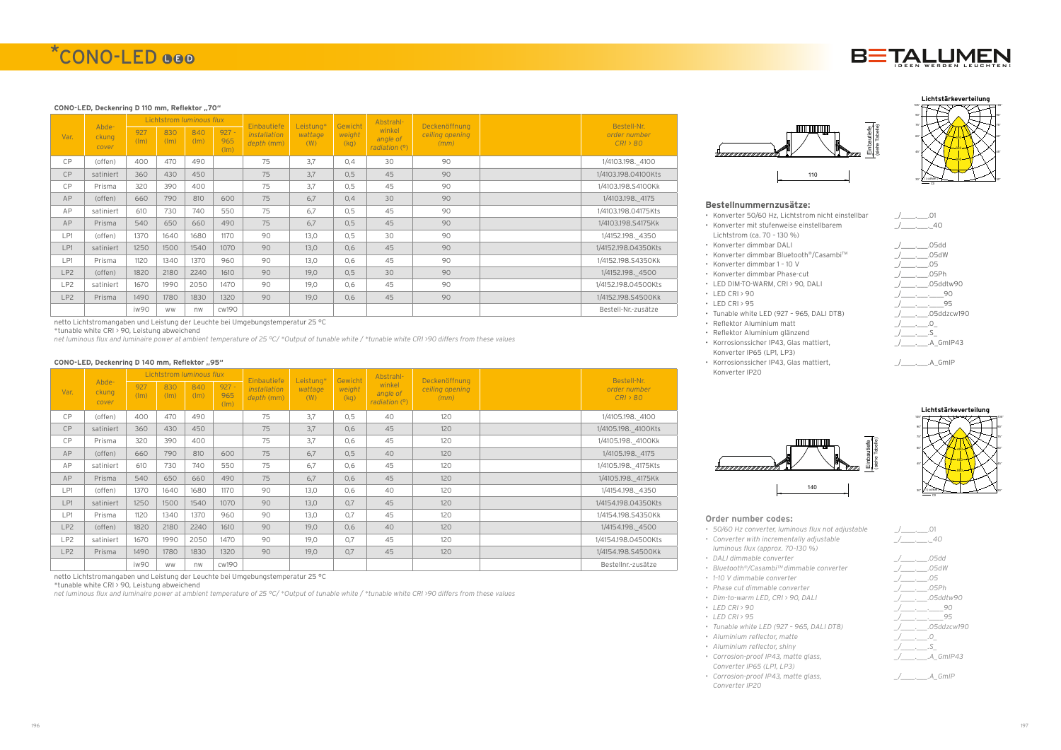#### **CONO-LED, Deckenring D 110 mm, Reflektor .. 70"**

|                 |                         |             |             | Lichtstrom <i>luminous flux</i> |                        |                                                  |                             |                           | Abstrahl-                           |                                          | Bestell-Nr.              |
|-----------------|-------------------------|-------------|-------------|---------------------------------|------------------------|--------------------------------------------------|-----------------------------|---------------------------|-------------------------------------|------------------------------------------|--------------------------|
| Var.            | Abde-<br>ckung<br>cover | 927<br>(lm) | 830<br>(lm) | 840<br>(lm)                     | $927 -$<br>965<br>(lm) | Einbautiefe<br><i>installation</i><br>depth (mm) | Leistung*<br>wattage<br>(W) | Gewicht<br>weight<br>(kg) | winkel<br>angle of<br>radiation (°) | Deckenöffnung<br>ceiling opening<br>(mm) | order number<br>CRI > 80 |
| CP              | (offen)                 | 400         | 470         | 490                             |                        | 75                                               | 3.7                         | 0.4                       | 30                                  | 90                                       | 1/4103.198. 4100         |
| <b>CP</b>       | satiniert               | 360         | 430         | 450                             |                        | 75                                               | 3.7                         | 0.5                       | 45                                  | 90                                       | 1/4103.198.04100Kts      |
| CP              | Prisma                  | 320         | 390         | 400                             |                        | 75                                               | 3.7                         | 0.5                       | 45                                  | 90                                       | 1/4103.198.S4100Kk       |
| AP              | (offen)                 | 660         | 790         | 810                             | 600                    | 75                                               | 6.7                         | 0.4                       | 30                                  | 90                                       | 1/4103.198. 4175         |
| AP              | satiniert               | 610         | 730         | 740                             | 550                    | 75                                               | 6.7                         | 0.5                       | 45                                  | 90                                       | 1/4103.198.04175Kts      |
| AP              | Prisma                  | 540         | 650         | 660                             | 490                    | 75                                               | 6.7                         | 0,5                       | 45                                  | 90                                       | 1/4103.198.S4175Kk       |
| LP1             | (offen)                 | 1370        | 1640        | 1680                            | 1170                   | 90                                               | 13,0                        | 0.5                       | 30                                  | 90                                       | 1/4152.198. 4350         |
| LP1             | satiniert               | 1250        | 1500        | 1540                            | 1070                   | 90                                               | 13,0                        | 0.6                       | 45                                  | 90                                       | 1/4152.198.04350Kts      |
| LP1             | Prisma                  | 1120        | 1340        | 1370                            | 960                    | 90                                               | 13,0                        | 0.6                       | 45                                  | 90                                       | 1/4152.198.S4350Kk       |
| LP <sub>2</sub> | (offen)                 | 1820        | 2180        | 2240                            | 1610                   | 90                                               | 19,0                        | 0.5                       | 30                                  | 90                                       | 1/4152.198. 4500         |
| LP <sub>2</sub> | satiniert               | 1670        | 1990        | 2050                            | 1470                   | 90                                               | 19.0                        | 0.6                       | 45                                  | 90                                       | 1/4152.198.04500Kts      |
| LP <sub>2</sub> | Prisma                  | 1490        | 1780        | 1830                            | 1320                   | 90                                               | 19,0                        | 0,6                       | 45                                  | 90                                       | 1/4152.198.S4500Kk       |
|                 |                         | iw90        | <b>WW</b>   | nw                              | cw190                  |                                                  |                             |                           |                                     |                                          | Bestell-Nr.-zusätze      |

netto Lichtstromangaben und Leistung der Leuchte bei Umgebungstemperatur 25 °C

\*tunable white CRI > 90, Leistung abweichend

*net luminous flux and luminaire power at ambient temperature of 25 °C/ \*Output of tunable white / \*tunable white CRI >90 differs from these values*

#### CONO<sup>-</sup>LED, Deckenring D 140 mm, Reflektor "95"

|                 |                         |                        | Lichtstrom <i>luminous flux</i> |             |                        | Einbautiefe                | Leistung*      | Gewicht        | Abstrahl-                           | Deckenöffnung           | Bestell-Nr.              |
|-----------------|-------------------------|------------------------|---------------------------------|-------------|------------------------|----------------------------|----------------|----------------|-------------------------------------|-------------------------|--------------------------|
| Var.            | Abde-<br>ckung<br>cover | 927<br>$(\mathsf{Im})$ | 830<br>(lm)                     | 840<br>(lm) | $927 -$<br>965<br>(lm) | installation<br>depth (mm) | wattage<br>(W) | weight<br>(kg) | winkel<br>angle of<br>radiation (°) | ceiling opening<br>(mm) | order number<br>CRI > 80 |
| CP              | (offen)                 | 400                    | 470                             | 490         |                        | 75                         | 3.7            | 0,5            | 40                                  | 120                     | 1/4105.198. 4100         |
| CP              | satiniert               | 360                    | 430                             | 450         |                        | 75                         | 3.7            | 0.6            | 45                                  | 120                     | 1/4105.198. 4100Kts      |
| CP              | Prisma                  | 320                    | 390                             | 400         |                        | 75                         | 3.7            | 0.6            | 45                                  | 120                     | 1/4105.198._4100Kk       |
| AP              | (offen)                 | 660                    | 790                             | 810         | 600                    | 75                         | 6,7            | 0,5            | 40                                  | 120                     | 1/4105.198. 4175         |
| AP              | satiniert               | 610                    | 730                             | 740         | 550                    | 75                         | 6,7            | 0,6            | 45                                  | 120                     | 1/4105.198. 4175Kts      |
| AP              | Prisma                  | 540                    | 650                             | 660         | 490                    | 75                         | 6.7            | 0.6            | 45                                  | 120                     | 1/4105.198. 4175Kk       |
| LP1             | (offen)                 | 1370                   | 1640                            | 1680        | 1170                   | 90                         | 13,0           | 0,6            | 40                                  | 120                     | 1/4154.198. 4350         |
| LP1             | satiniert               | 1250                   | 1500                            | 1540        | 1070                   | 90                         | 13,0           | 0.7            | 45                                  | 120                     | 1/4154.198.04350Kts      |
| LP1             | Prisma                  | 1120                   | 1340                            | 1370        | 960                    | 90                         | 13,0           | 0.7            | 45                                  | 120                     | 1/4154.198.S4350Kk       |
| LP <sub>2</sub> | (offen)                 | 1820                   | 2180                            | 2240        | 1610                   | 90                         | 19,0           | 0,6            | 40                                  | 120                     | 1/4154.198. 4500         |
| LP <sub>2</sub> | satiniert               | 1670                   | 1990                            | 2050        | 1470                   | 90                         | 19,0           | 0.7            | 45                                  | 120                     | 1/4154.198.04500Kts      |
| LP <sub>2</sub> | Prisma                  | 1490                   | 1780                            | 1830        | 1320                   | 90                         | 19,0           | 0,7            | 45                                  | 120                     | 1/4154.198.S4500Kk       |
|                 |                         | iw90                   | <b>WW</b>                       | nw          | cw190                  |                            |                |                |                                     |                         | Bestellnr.-zusätze       |

netto Lichtstromangaben und Leistung der Leuchte bei Umgebungstemperatur 25 °C

\*tunable white CRI > 90, Leistung abweichend

*net luminous flux and luminaire power at ambient temperature of 25 °C/ \*Output of tunable white / \*tunable white CRI >90 differs from these values*









#### **Bestellnummernzusätze:** • Konverter 50/60 Hz, Lichtstrom nicht einstellbar \_/\_\_\_\_.\_\_\_.01 • Konverter mit stufenweise einstellbarem



- 
- Lichtstrom (ca. 70 130 %)
- Konverter dimmbar DALI \_/\_\_\_\_.\_\_\_.05dd
- Konverter dimmbar Bluetooth<sup>®</sup>/Casambi™ \_\_\_\_\_\_\_\_\_\_\_\_\_\_\_\_\_\_\_\_\_\_05dW
- Konverter dimmbar 1 10 V  $/$ \_\_\_\_\_\_\_\_\_\_.05
- Konverter dimmbar Phase-cut  $\angle$  \_\_\_\_\_\_\_\_\_\_\_.05Ph
- 
- 
- 
- 
- 
- Reflektor Aluminium glänzend • Korrosionssicher IP43, Glas mattiert,
- Konverter IP65 (LP1, LP3) • Korrosionssicher IP43, Glas mattiert,
	- Konverter IP20



#### **Order number codes:**



- *• 50/60 Hz converter, luminous flux not adjustable* \_/\_\_\_\_.\_\_\_.01
- *• Converter with incrementally adjustable luminous flux (approx. 70–130 %)*
- *• DALI dimmable converter \_/\_\_\_\_.\_\_\_.05dd*
- *• Bluetooth®/CasambiTM dimmable converter \_/\_\_\_\_.\_\_\_.05dW*
- *• 1–10 V dimmable converter \_/\_\_\_\_.\_\_\_.05*
	- *• Phase cut dimmable converter \_/\_\_\_\_.\_\_\_.05Ph*
- *• Dim-to-warm LED, CRI > 90, DALI \_/\_\_\_\_.\_\_\_.05ddtw90*
- 
- 
- - *• Aluminium reflector, matte \_/\_\_\_\_.\_\_\_.0\_*
	- *• Corrosion-proof IP43, matte glass, Converter IP65 (LP1, LP3)*
	- *• Corrosion-proof IP43, matte glass, Converter IP20*



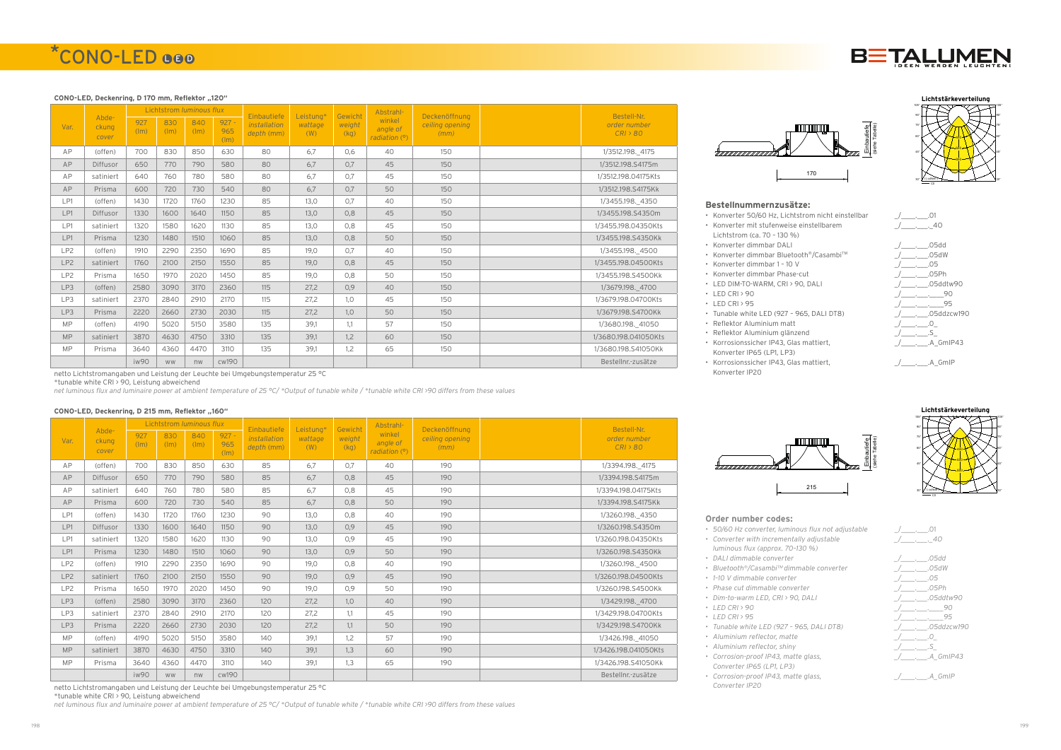## \*CONO-LED 000

#### CONO-LED, Deckenring, D 170 mm, Reflektor "120"

|                 |                         |             | Lichtstrom <i>luminous flux</i> |                        |                                   | Einbautiefe                | Leistung*      | Gewicht<br>weight<br>(kq) | Abstrahl-                             | Deckenöffnung           | Bestell-Nr.              |
|-----------------|-------------------------|-------------|---------------------------------|------------------------|-----------------------------------|----------------------------|----------------|---------------------------|---------------------------------------|-------------------------|--------------------------|
| Var.            | Abde-<br>ckung<br>cover | 927<br>(lm) | 830<br>(lm)                     | 840<br>$(\mathsf{Im})$ | $927 -$<br>965<br>$(\mathsf{Im})$ | installation<br>depth (mm) | wattage<br>(W) |                           | winkel<br>angle of<br>radiation $(9)$ | ceiling opening<br>(mm) | order number<br>CRI > 80 |
| AP              | (offen)                 | 700         | 830                             | 850                    | 630                               | 80                         | 6,7            | 0.6                       | 40                                    | 150                     | 1/3512.198. 4175         |
| AP              | Diffusor                | 650         | 770                             | 790                    | 580                               | 80                         | 6,7            | 0.7                       | 45                                    | 150                     | 1/3512.198.S4175m        |
| AP              | satiniert               | 640         | 760                             | 780                    | 580                               | 80                         | 6,7            | 0.7                       | 45                                    | 150                     | 1/3512.198.04175Kts      |
| AP              | Prisma                  | 600         | 720                             | 730                    | 540                               | 80                         | 6,7            | 0.7                       | 50                                    | 150                     | 1/3512.198.S4175Kk       |
| LP1             | (offen)                 | 1430        | 1720                            | 1760                   | 1230                              | 85                         | 13.0           | 0.7                       | 40                                    | 150                     | 1/3455.198. 4350         |
| LP1             | Diffusor                | 1330        | 1600                            | 1640                   | 1150                              | 85                         | 13.0           | 0.8                       | 45                                    | 150                     | 1/3455.198.S4350m        |
| LP1             | satiniert               | 1320        | 1580                            | 1620                   | 1130                              | 85                         | 13.0           | 0.8                       | 45                                    | 150                     | 1/3455.198.04350Kts      |
| LP1             | Prisma                  | 1230        | 1480                            | 1510                   | 1060                              | 85                         | 13.0           | 0.8                       | 50                                    | 150                     | 1/3455.198.S4350Kk       |
| LP <sub>2</sub> | (offen)                 | 1910        | 2290                            | 2350                   | 1690                              | 85                         | 19.0           | 0.7                       | 40                                    | 150                     | 1/3455.198. 4500         |
| LP <sub>2</sub> | satiniert               | 1760        | 2100                            | 2150                   | 1550                              | 85                         | 19.0           | 0.8                       | 45                                    | 150                     | 1/3455.198.04500Kts      |
| LP <sub>2</sub> | Prisma                  | 1650        | 1970                            | 2020                   | 1450                              | 85                         | 19,0           | 0.8                       | 50                                    | 150                     | 1/3455.198.S4500Kk       |
| LP3             | (offen)                 | 2580        | 3090                            | 3170                   | 2360                              | 115                        | 27,2           | 0.9                       | 40                                    | 150                     | 1/3679.198. 4700         |
| LP3             | satiniert               | 2370        | 2840                            | 2910                   | 2170                              | 115                        | 27,2           | 1,0                       | 45                                    | 150                     | 1/3679.198.04700Kts      |
| LP3             | Prisma                  | 2220        | 2660                            | 2730                   | 2030                              | 115                        | 27,2           | 1,0                       | 50                                    | 150                     | 1/3679.198.S4700Kk       |
| <b>MP</b>       | (offen)                 | 4190        | 5020                            | 5150                   | 3580                              | 135                        | 39,1           | 1,1                       | 57                                    | 150                     | 1/3680.198. 41050        |
| <b>MP</b>       | satiniert               | 3870        | 4630                            | 4750                   | 3310                              | 135                        | 39,1           | 1,2                       | 60                                    | 150                     | 1/3680.198.041050Kts     |
| <b>MP</b>       | Prisma                  | 3640        | 4360                            | 4470                   | 3110                              | 135                        | 39,1           | 1,2                       | 65                                    | 150                     | 1/3680.198.S41050Kk      |
|                 |                         | iw90        | <b>WW</b>                       | nw                     | cw190                             |                            |                |                           |                                       |                         | Bestellnr.-zusätze       |

netto Lichtstromangaben und Leistung der Leuchte bei Umgebungstemperatur 25 °C

\*tunable white CRI > 90, Leistung abweichend

*net luminous flux and luminaire power at ambient temperature of 25 °C/ \*Output of tunable white / \*tunable white CRI >90 differs from these values*

#### **CONO-LED, Deckenring, D 215 mm, Reflektor "160"**

- Konverter 50/60 Hz, Lichtstrom nicht einstellbar  $/$ \_\_\_\_\_\_\_\_\_.01 • Konverter mit stufenweise einstellbarem
- Lichtstrom (ca. 70 130 %)
- Konverter dimmbar DALI  $/$  . .05dd
- Konverter dimmbar Bluetooth<sup>®</sup>/Casambi™ \_\_\_\_\_\_\_\_\_\_\_\_\_\_\_\_\_\_\_\_\_\_05dW
- Konverter dimmbar 1 10 V  $/$ \_\_\_\_\_\_\_\_\_\_.05
- Konverter dimmbar Phase-cut  $\angle$  \_\_\_\_\_\_\_\_\_\_\_.05Ph
- 
- 
- 
- 
- Reflektor Aluminium matt  $/$ \_\_\_\_\_\_\_\_\_.0\_
- Reflektor Aluminium glänzend \_/\_\_\_\_.\_\_\_.S\_ • Korrosionssicher IP43, Glas mattiert,
- Konverter IP65 (LP1, LP3) • Korrosionssicher IP43, Glas mattiert,
- Konverter IP20

|                 |                         |             | Lichtstrom <i>luminous flux</i> |                        |                        | Einbautiefe                | Leistung*      | Gewicht        | Abstrahl-                           | Deckenöffnung           | Bestell-Nr.              |
|-----------------|-------------------------|-------------|---------------------------------|------------------------|------------------------|----------------------------|----------------|----------------|-------------------------------------|-------------------------|--------------------------|
| Var.            | Abde-<br>ckung<br>cover | 927<br>(lm) | 830<br>(lm)                     | 840<br>$(\mathsf{Im})$ | $927 -$<br>965<br>(lm) | installation<br>depth (mm) | wattage<br>(W) | weight<br>(kq) | winkel<br>angle of<br>radiation (°) | ceiling opening<br>(mm) | order number<br>CRI > 80 |
| AP              | (offen)                 | 700         | 830                             | 850                    | 630                    | 85                         | 6,7            | 0.7            | 40                                  | 190                     | 1/3394.198. 4175         |
| AP              | Diffusor                | 650         | 770                             | 790                    | 580                    | 85                         | 6.7            | 0,8            | 45                                  | 190                     | 1/3394.198.S4175m        |
| AP              | satiniert               | 640         | 760                             | 780                    | 580                    | 85                         | 6,7            | 0,8            | 45                                  | 190                     | 1/3394.198.04175Kts      |
| AP              | Prisma                  | 600         | 720                             | 730                    | 540                    | 85                         | 6.7            | 0,8            | 50                                  | 190                     | 1/3394.198.S4175Kk       |
| LP1             | (offen)                 | 1430        | 1720                            | 1760                   | 1230                   | 90                         | 13,0           | 0,8            | 40                                  | 190                     | 1/3260.198. 4350         |
| LP1             | Diffusor                | 1330        | 1600                            | 1640                   | 1150                   | 90                         | 13.0           | 0.9            | 45                                  | 190                     | 1/3260.198.S4350m        |
| LP1             | satiniert               | 1320        | 1580                            | 1620                   | 1130                   | 90                         | 13,0           | 0.9            | 45                                  | 190                     | 1/3260.198.04350Kts      |
| LP1             | Prisma                  | 1230        | 1480                            | 1510                   | 1060                   | 90                         | 13.0           | 0.9            | 50                                  | 190                     | 1/3260.198.S4350Kk       |
| LP <sub>2</sub> | (offen)                 | 1910        | 2290                            | 2350                   | 1690                   | 90                         | 19.0           | 0,8            | 40                                  | 190                     | 1/3260.198. 4500         |
| LP <sub>2</sub> | satiniert               | 1760        | 2100                            | 2150                   | 1550                   | 90                         | 19.0           | 0.9            | 45                                  | 190                     | 1/3260.198.04500Kts      |
| LP <sub>2</sub> | Prisma                  | 1650        | 1970                            | 2020                   | 1450                   | 90                         | 19.0           | 0.9            | 50                                  | 190                     | 1/3260.198.S4500Kk       |
| LP3             | (offen)                 | 2580        | 3090                            | 3170                   | 2360                   | 120                        | 27,2           | 1,0            | 40                                  | 190                     | 1/3429.198. 4700         |
| LP3             | satiniert               | 2370        | 2840                            | 2910                   | 2170                   | 120                        | 27,2           | 1.1            | 45                                  | 190                     | 1/3429.198.04700Kts      |
| LP3             | Prisma                  | 2220        | 2660                            | 2730                   | 2030                   | 120                        | 27,2           | 1,1            | 50                                  | 190                     | 1/3429.198.S4700Kk       |
| <b>MP</b>       | (offen)                 | 4190        | 5020                            | 5150                   | 3580                   | 140                        | 39.1           | 1,2            | 57                                  | 190                     | 1/3426.198. 41050        |
| <b>MP</b>       | satiniert               | 3870        | 4630                            | 4750                   | 3310                   | 140                        | 39,1           | 1,3            | 60                                  | 190                     | 1/3426.198.041050Kts     |
| <b>MP</b>       | Prisma                  | 3640        | 4360                            | 4470                   | 3110                   | 140                        | 39,1           | 1,3            | 65                                  | 190                     | 1/3426.198.S41050Kk      |
|                 |                         | iw90        | <b>WW</b>                       | nw                     | cw190                  |                            |                |                |                                     |                         | Bestellnr.-zusätze       |

netto Lichtstromangaben und Leistung der Leuchte bei Umgebungstemperatur 25 °C

\*tunable white CRI > 90, Leistung abweichend

*net luminous flux and luminaire power at ambient temperature of 25 °C/ \*Output of tunable white / \*tunable white CRI >90 differs from these values*









#### **Bestellnummernzusätze:**





#### **Order number codes:**



- *• 50/60 Hz converter, luminous flux not adjustable* \_/\_\_\_\_.\_\_\_.01
- *• Converter with incrementally adjustable luminous flux (approx. 70–130 %)*
- *• DALI dimmable converter \_/\_\_\_\_.\_\_\_.05dd*
- *• Bluetooth®/CasambiTM dimmable converter \_/\_\_\_\_.\_\_\_.05dW*
- *• 1–10 V dimmable converter \_/\_\_\_\_.\_\_\_.05*
- *• Phase cut dimmable converter \_/\_\_\_\_.\_\_\_.05Ph*
- *• Dim-to-warm LED, CRI > 90, DALI \_/\_\_\_\_.\_\_\_.05ddtw90*
- 
- 
- -
	- *• Corrosion-proof IP43, matte glass,*
	- *Converter IP65 (LP1, LP3) • Corrosion-proof IP43, matte glass,*
	- *Converter IP20*



*• LED CRI > 90 \_/\_\_\_\_.\_\_\_.\_\_\_\_90 • LED CRI > 95 \_/\_\_\_\_.\_\_\_.\_\_\_\_95 • Tunable white LED (927 – 965, DALI DT8) \_/\_\_\_\_.\_\_\_.05ddzcw190 • Aluminium reflector, matte \_/\_\_\_\_.\_\_\_.0\_ • Aluminium reflector, shiny \_/\_\_\_\_.\_\_\_.S\_ \_/\_\_\_\_.\_\_\_.A\_GmIP43 \_/\_\_\_\_.\_\_\_.A\_GmIP*